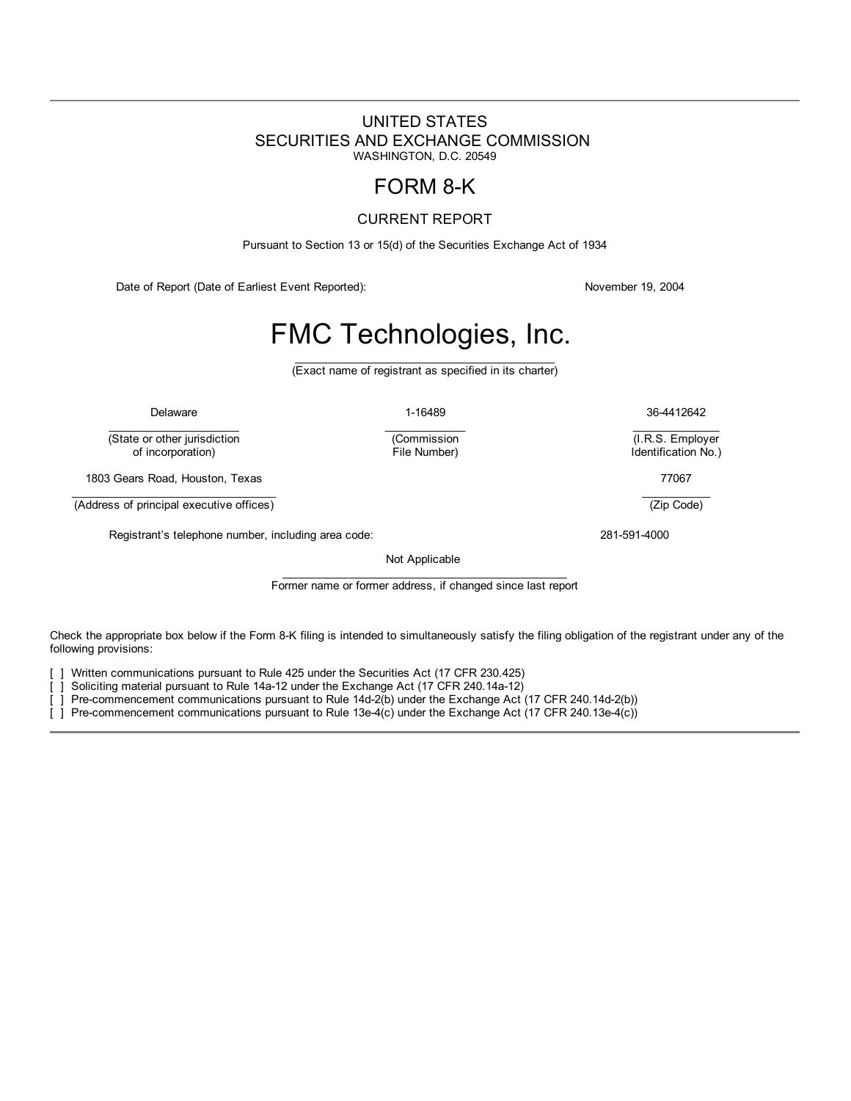# <span id="page-0-0"></span>UNITED STATES SECURITIES AND EXCHANGE COMMISSION WASHINGTON, D.C. 20549

# FORM 8-K

# CURRENT REPORT

Pursuant to Section 13 or 15(d) of the Securities Exchange Act of 1934

Date of Report (Date of Earliest Event Reported): November 19, 2004

# FMC Technologies, Inc.

 $\_$ (Exact name of registrant as specified in its charter)

 $\mathcal{L}_\text{max}$  and  $\mathcal{L}_\text{max}$  and  $\mathcal{L}_\text{max}$ 

 $\mathcal{L}_\text{max}$  and  $\mathcal{L}_\text{max}$ 

(Commission

(State or other jurisdiction<br>of incorporation)

1803 Gears Road, Houston, Texas 77067

 $\mathcal{L}_\text{max}$  and  $\mathcal{L}_\text{max}$  and  $\mathcal{L}_\text{max}$  and  $\mathcal{L}_\text{max}$ (Address of principal executive offices)

Registrant's telephone number, including area code: 281-591-4000

Not Applicable

\_\_\_\_\_\_\_\_\_\_\_\_\_\_\_\_\_\_\_\_\_\_\_\_\_\_\_\_\_\_\_\_\_\_\_\_\_\_\_\_\_\_\_\_\_\_ Former name or former address, if changed since last report

Check the appropriate box below if the Form 8-K filing is intended to simultaneously satisfy the filing obligation of the registrant under any of the following provisions:

] Written communications pursuant to Rule 425 under the Securities Act (17 CFR 230.425)

[ ] Soliciting material pursuant to Rule 14a-12 under the Exchange Act (17 CFR 240.14a-12)

[ ] Pre-commencement communications pursuant to Rule 14d-2(b) under the Exchange Act (17 CFR 240.14d-2(b))

[ ] Pre-commencement communications pursuant to Rule 13e-4(c) under the Exchange Act (17 CFR 240.13e-4(c))

Delaware 1-16489 36-4412642  $\mathcal{L}_\text{max}$  and  $\mathcal{L}_\text{max}$ 

> (I.R.S. Employer Identification No.)

> > $\mathcal{L}_\text{max}$  and  $\mathcal{L}_\text{max}$

(Zip Code)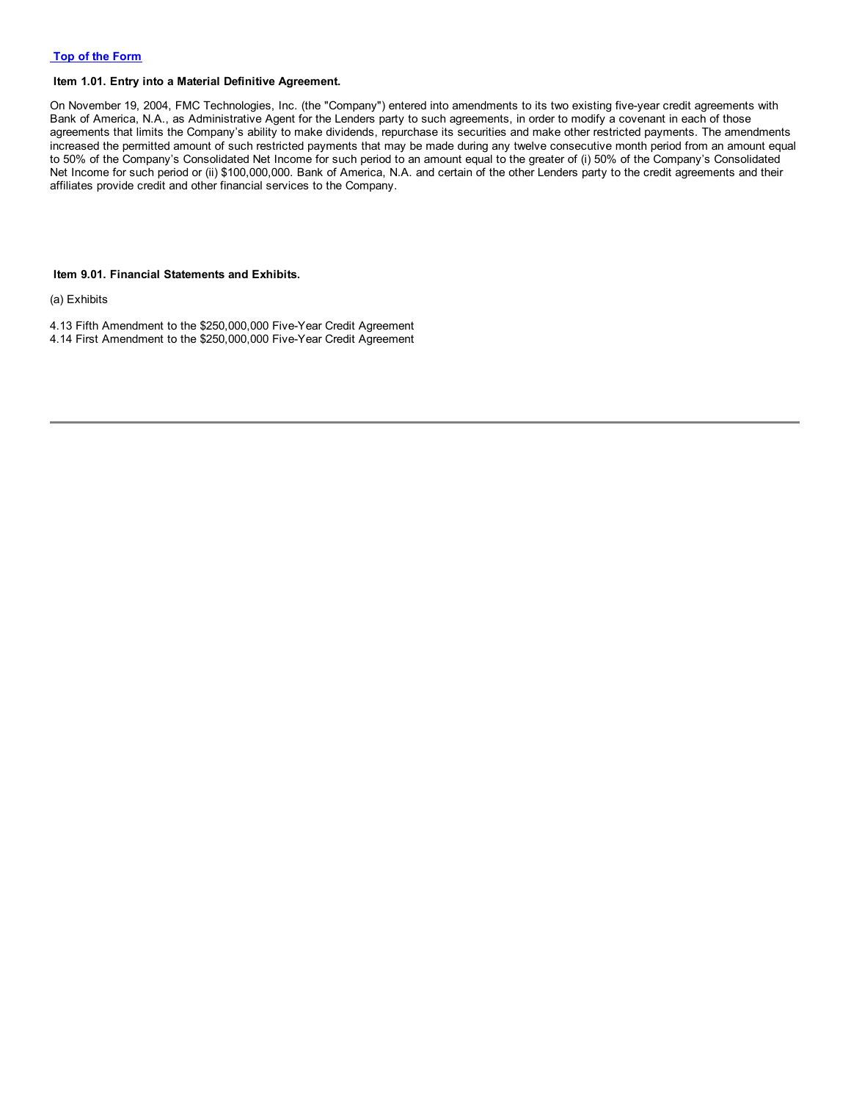#### **Item 1.01. Entry into a Material Definitive Agreement.**

On November 19, 2004, FMC Technologies, Inc. (the "Company") entered into amendments to its two existing five-year credit agreements with Bank of America, N.A., as Administrative Agent for the Lenders party to such agreements, in order to modify a covenant in each of those agreements that limits the Company's ability to make dividends, repurchase its securities and make other restricted payments. The amendments increased the permitted amount of such restricted payments that may be made during any twelve consecutive month period from an amount equal to 50% of the Company's Consolidated Net Income for such period to an amount equal to the greater of (i) 50% of the Company's Consolidated Net Income for such period or (ii) \$100,000,000. Bank of America, N.A. and certain of the other Lenders party to the credit agreements and their affiliates provide credit and other financial services to the Company.

#### **Item 9.01. Financial Statements and Exhibits.**

(a) Exhibits

4.13 Fifth Amendment to the \$250,000,000 Five-Year Credit Agreement 4.14 First Amendment to the \$250,000,000 Five-Year Credit Agreement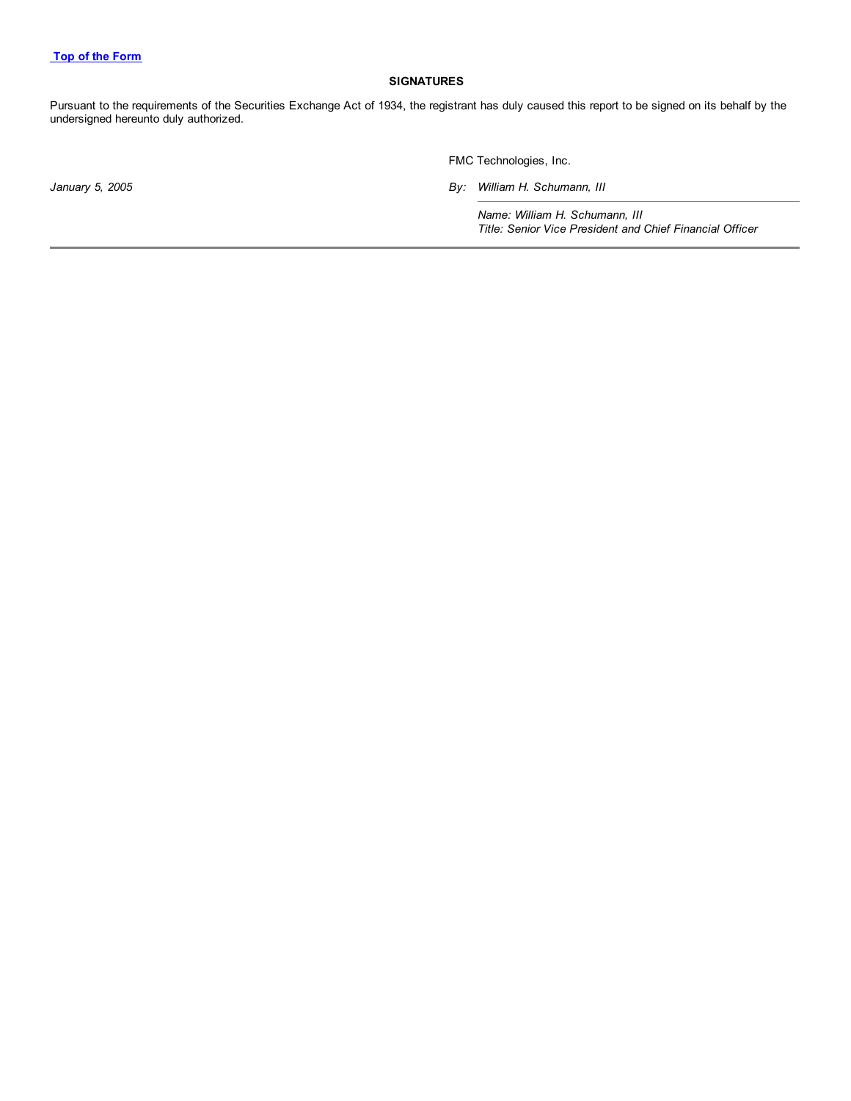#### **SIGNATURES**

Pursuant to the requirements of the Securities Exchange Act of 1934, the registrant has duly caused this report to be signed on its behalf by the undersigned hereunto duly authorized.

FMC Technologies, Inc.

*January 5, 2005 By: William H. Schumann, III*

*Name: William H. Schumann, III Title: Senior Vice President and Chief Financial Officer*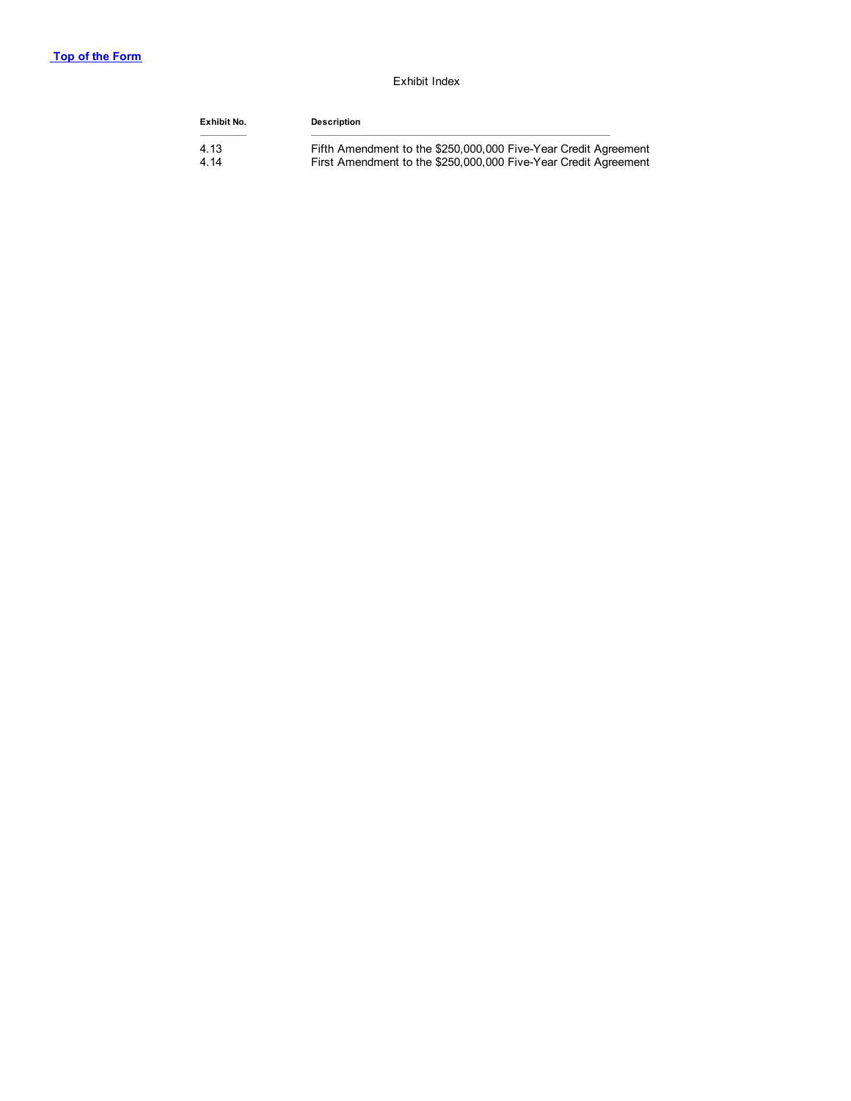#### Exhibit Index

| Exhibit No. | Description                                                     |
|-------------|-----------------------------------------------------------------|
| 4.13        | Fifth Amendment to the \$250,000,000 Five-Year Credit Agreement |
| 4.14        | First Amendment to the \$250,000,000 Five-Year Credit Agreement |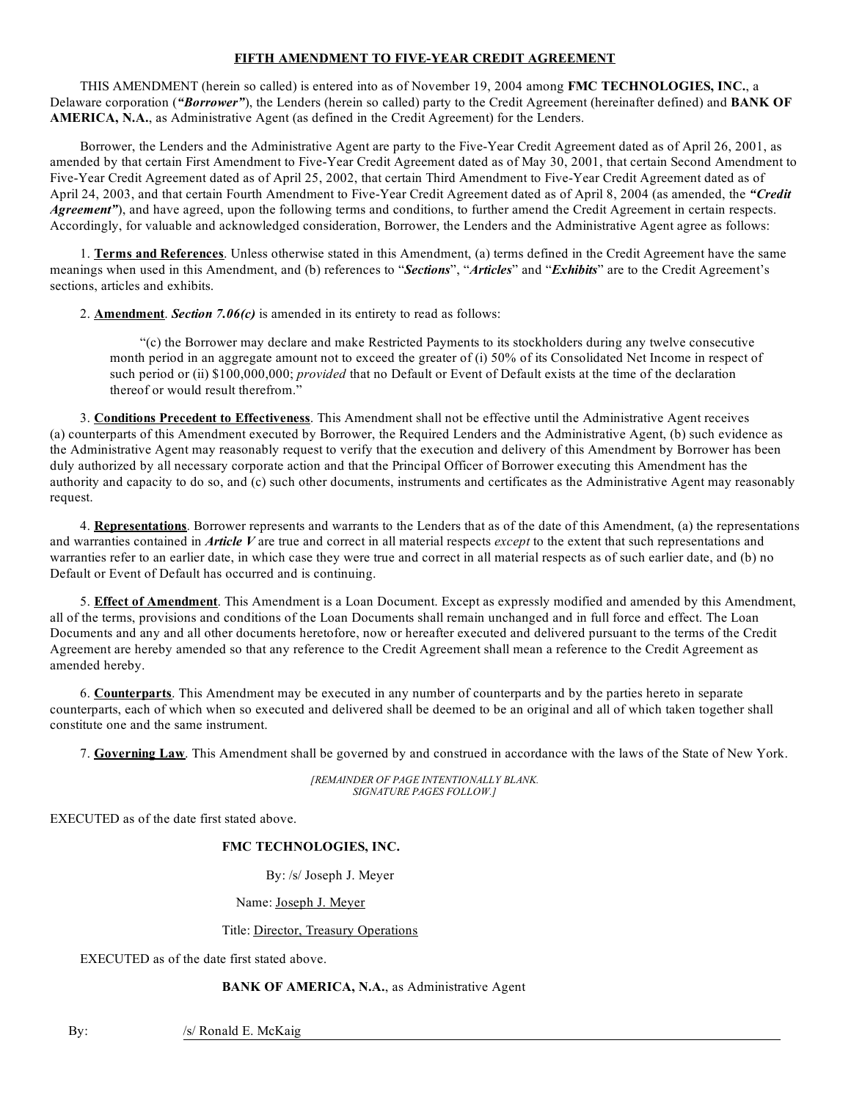#### **FIFTH AMENDMENT TO FIVE-YEAR CREDIT AGREEMENT**

THIS AMENDMENT (herein so called) is entered into as of November 19, 2004 among **FMC TECHNOLOGIES, INC.**, a Delaware corporation (*"Borrower"*), the Lenders (herein so called) party to the Credit Agreement (hereinafter defined) and **BANK OF AMERICA, N.A.**, as Administrative Agent (as defined in the Credit Agreement) for the Lenders.

Borrower, the Lenders and the Administrative Agent are party to the Five-Year Credit Agreement dated as of April 26, 2001, as amended by that certain First Amendment to Five-Year Credit Agreement dated as of May 30, 2001, that certain Second Amendment to Five-Year Credit Agreement dated as of April 25, 2002, that certain Third Amendment to Five-Year Credit Agreement dated as of April 24, 2003, and that certain Fourth Amendment to Five-Year Credit Agreement dated as of April 8, 2004 (as amended, the *"Credit Agreement*"), and have agreed, upon the following terms and conditions, to further amend the Credit Agreement in certain respects. Accordingly, for valuable and acknowledged consideration, Borrower, the Lenders and the Administrative Agent agree as follows:

1. **Terms and References**. Unless otherwise stated in this Amendment, (a) terms defined in the Credit Agreement have the same meanings when used in this Amendment, and (b) references to "*Sections*", "*Articles*" and "*Exhibits*" are to the Credit Agreement's sections, articles and exhibits.

2. **Amendment**. *Section 7.06(c)* is amended in its entirety to read as follows:

"(c) the Borrower may declare and make Restricted Payments to its stockholders during any twelve consecutive month period in an aggregate amount not to exceed the greater of (i) 50% of its Consolidated Net Income in respect of such period or (ii) \$100,000,000; *provided* that no Default or Event of Default exists at the time of the declaration thereof or would result therefrom."

3. **Conditions Precedent to Effectiveness**. This Amendment shall not be effective until the Administrative Agent receives (a) counterparts of this Amendment executed by Borrower, the Required Lenders and the Administrative Agent, (b) such evidence as the Administrative Agent may reasonably request to verify that the execution and delivery of this Amendment by Borrower has been duly authorized by all necessary corporate action and that the Principal Officer of Borrower executing this Amendment has the authority and capacity to do so, and (c) such other documents, instruments and certificates as the Administrative Agent may reasonably request.

4. **Representations**. Borrower represents and warrants to the Lenders that as of the date of this Amendment, (a) the representations and warranties contained in *Article V* are true and correct in all material respects *except* to the extent that such representations and warranties refer to an earlier date, in which case they were true and correct in all material respects as of such earlier date, and (b) no Default or Event of Default has occurred and is continuing.

5. **Effect of Amendment**. This Amendment is a Loan Document. Except as expressly modified and amended by this Amendment, all of the terms, provisions and conditions of the Loan Documents shall remain unchanged and in full force and effect. The Loan Documents and any and all other documents heretofore, now or hereafter executed and delivered pursuant to the terms of the Credit Agreement are hereby amended so that any reference to the Credit Agreement shall mean a reference to the Credit Agreement as amended hereby.

6. **Counterparts**. This Amendment may be executed in any number of counterparts and by the parties hereto in separate counterparts, each of which when so executed and delivered shall be deemed to be an original and all of which taken together shall constitute one and the same instrument.

7. **Governing Law**. This Amendment shall be governed by and construed in accordance with the laws of the State of New York.

*[REMAINDER OF PAGE INTENTIONALLY BLANK. SIGNATURE PAGES FOLLOW.]*

EXECUTED as of the date first stated above.

#### **FMC TECHNOLOGIES, INC.**

By: /s/ Joseph J. Meyer

Name: Joseph J. Meyer

#### Title: Director, Treasury Operations

EXECUTED as of the date first stated above.

#### **BANK OF AMERICA, N.A.**, as Administrative Agent

By: /s/ Ronald E. McKaig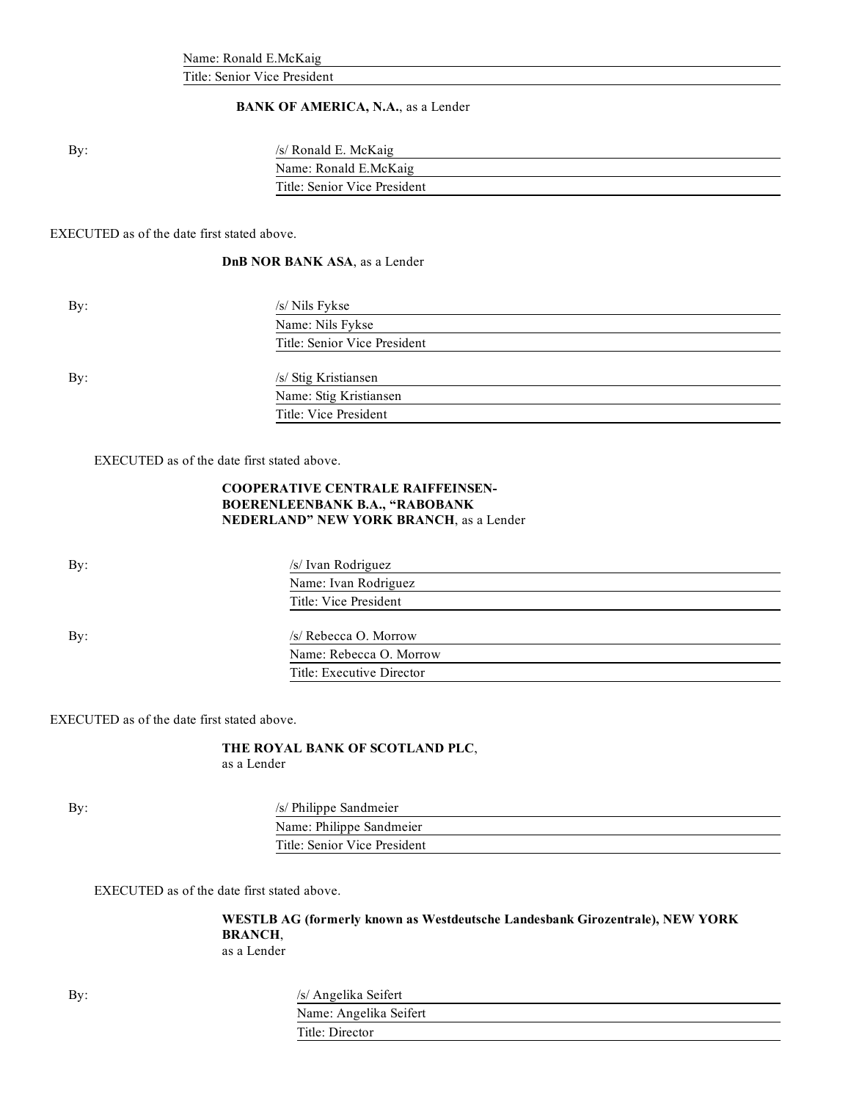Name: Ronald E.McKaig

Title: Senior Vice President

### **BANK OF AMERICA, N.A.**, as a Lender

By: /s/ Ronald E. McKaig Name: Ronald E.McKaig Title: Senior Vice President

EXECUTED as of the date first stated above.

#### **DnB NOR BANK ASA**, as a Lender

| By: | /s/ Nils Fykse               |
|-----|------------------------------|
|     | Name: Nils Fykse             |
|     | Title: Senior Vice President |
|     |                              |
| By: | /s/ Stig Kristiansen         |
|     | Name: Stig Kristiansen       |
|     | Title: Vice President        |

EXECUTED as of the date first stated above.

#### **COOPERATIVE CENTRALE RAIFFEINSEN-BOERENLEENBANK B.A., "RABOBANK NEDERLAND" NEW YORK BRANCH**, as a Lender

By: /s/ Ivan Rodriguez Name: Ivan Rodriguez Title: Vice President By:  $\frac{1}{s}$  Rebecca O. Morrow Name: Rebecca O. Morrow Title: Executive Director

EXECUTED as of the date first stated above.

#### **THE ROYAL BANK OF SCOTLAND PLC**, as a Lender

By: /s/ Philippe Sandmeier

Name: Philippe Sandmeier Title: Senior Vice President

EXECUTED as of the date first stated above.

**WESTLB AG (formerly known as Westdeutsche Landesbank Girozentrale), NEW YORK BRANCH**, as a Lender

| By: | /s/ Angelika Seifert |
|-----|----------------------|
|-----|----------------------|

| $\frac{1}{2}$          |  |
|------------------------|--|
| Name: Angelika Seifert |  |
| Title: Director        |  |
|                        |  |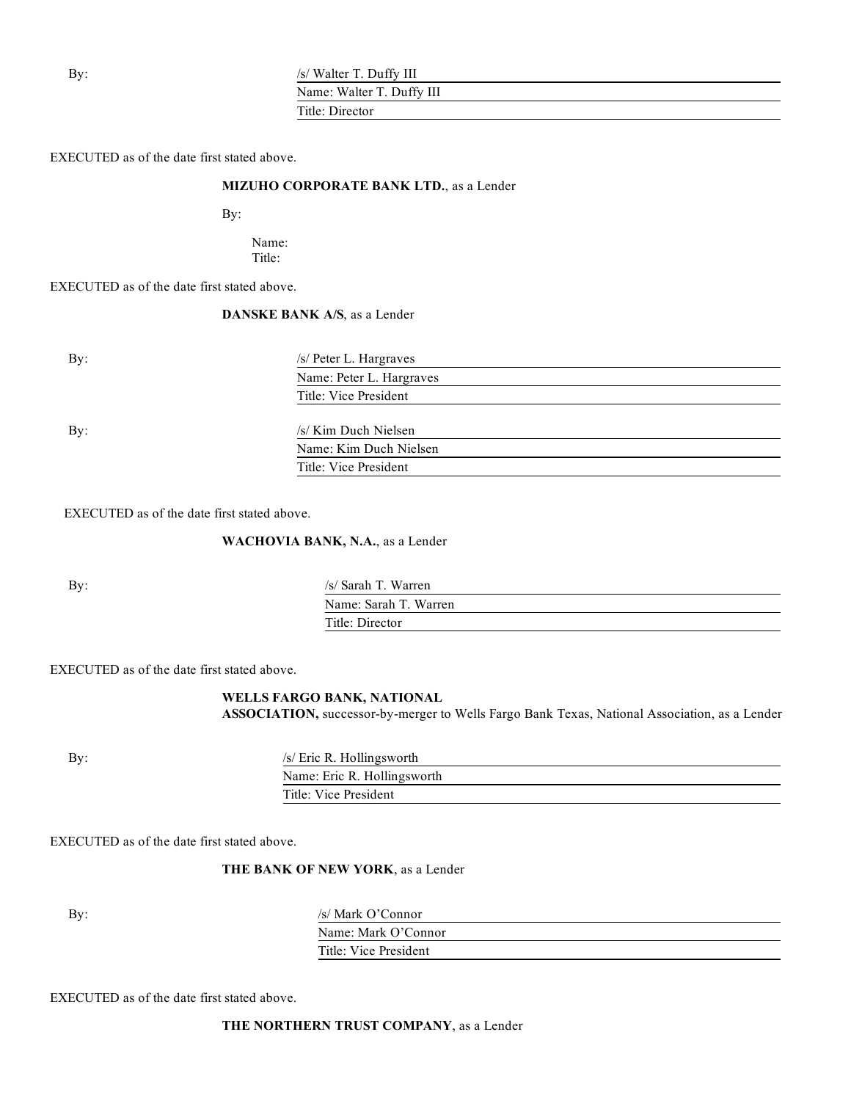By:  $\frac{1}{s}$  /s/ Walter T. Duffy III

Name: Walter T. Duffy III

Title: Director

EXECUTED as of the date first stated above.

#### **MIZUHO CORPORATE BANK LTD.**, as a Lender

By:

Name: Title:

EXECUTED as of the date first stated above.

# **DANSKE BANK A/S**, as a Lender

| By:        | /s/ Peter L. Hargraves   |  |
|------------|--------------------------|--|
|            | Name: Peter L. Hargraves |  |
|            | Title: Vice President    |  |
|            |                          |  |
| $\rm\,By:$ | /s/ Kim Duch Nielsen     |  |
|            | Name: Kim Duch Nielsen   |  |
|            | Title: Vice President    |  |
|            |                          |  |

EXECUTED as of the date first stated above.

**WACHOVIA BANK, N.A.**, as a Lender

By: /s/ Sarah T. Warren Name: Sarah T. Warren Title: Director

EXECUTED as of the date first stated above.

#### **WELLS FARGO BANK, NATIONAL**

**ASSOCIATION,** successor-by-merger to Wells Fargo Bank Texas, National Association, as a Lender

By:  $\frac{1}{s}$  /s/ Eric R. Hollingsworth

| Name: Eric R. Hollingsworth |  |
|-----------------------------|--|
| Title: Vice President       |  |
|                             |  |

EXECUTED as of the date first stated above.

#### **THE BANK OF NEW YORK**, as a Lender

| By: | /s/ Mark O'Connor     |
|-----|-----------------------|
|     | Name: Mark O'Connor   |
|     | Title: Vice President |

EXECUTED as of the date first stated above.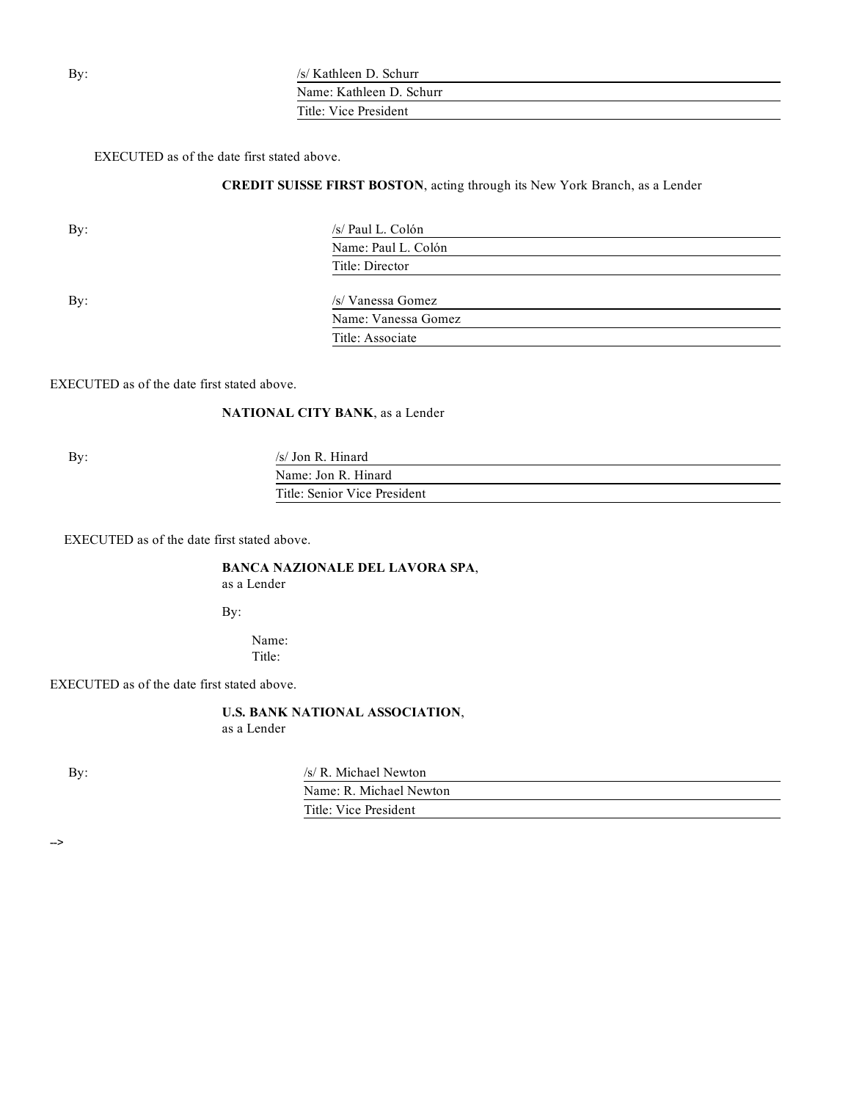| Bv: | /s/ Kathleen D. Schurr |
|-----|------------------------|
|     |                        |

Name: Kathleen D. Schurr Title: Vice President

Name: Vanessa Gomez

Title: Associate

EXECUTED as of the date first stated above.

### **CREDIT SUISSE FIRST BOSTON**, acting through its New York Branch, as a Lender

| By: | /s/ Paul L. Colón   |  |
|-----|---------------------|--|
|     | Name: Paul L. Colón |  |
|     | Title: Director     |  |
| By: | /s/ Vanessa Gomez   |  |
|     |                     |  |

EXECUTED as of the date first stated above.

# **NATIONAL CITY BANK**, as a Lender

By:  $\frac{1}{s}$  /s/ Jon R. Hinard

Name: Jon R. Hinard Title: Senior Vice President

EXECUTED as of the date first stated above.

#### **BANCA NAZIONALE DEL LAVORA SPA**, as a Lender

By:

Name: Title:

#### EXECUTED as of the date first stated above.

**U.S. BANK NATIONAL ASSOCIATION**, as a Lender

By: /s/ R. Michael Newton Name: R. Michael Newton Title: Vice President

-->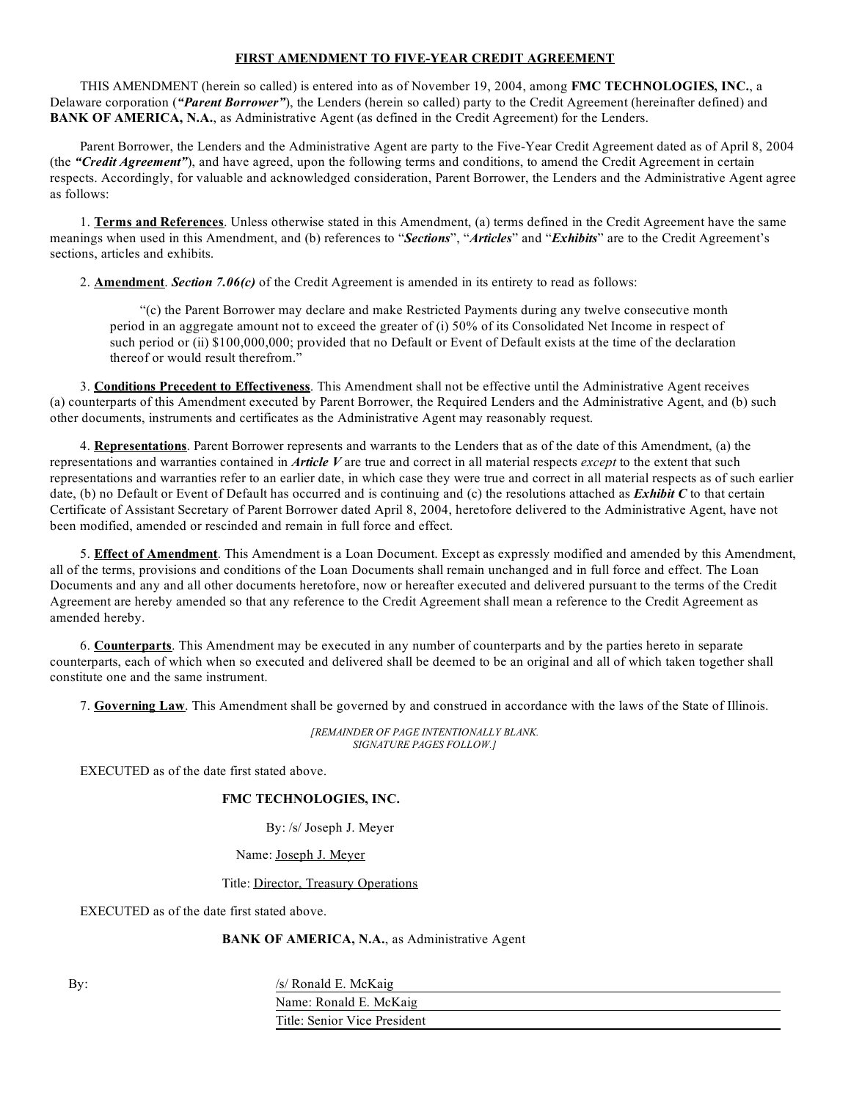#### **FIRST AMENDMENT TO FIVE-YEAR CREDIT AGREEMENT**

THIS AMENDMENT (herein so called) is entered into as of November 19, 2004, among **FMC TECHNOLOGIES, INC.**, a Delaware corporation (*"Parent Borrower"*), the Lenders (herein so called) party to the Credit Agreement (hereinafter defined) and **BANK OF AMERICA, N.A.**, as Administrative Agent (as defined in the Credit Agreement) for the Lenders.

Parent Borrower, the Lenders and the Administrative Agent are party to the Five-Year Credit Agreement dated as of April 8, 2004 (the *"Credit Agreement"*), and have agreed, upon the following terms and conditions, to amend the Credit Agreement in certain respects. Accordingly, for valuable and acknowledged consideration, Parent Borrower, the Lenders and the Administrative Agent agree as follows:

1. **Terms and References**. Unless otherwise stated in this Amendment, (a) terms defined in the Credit Agreement have the same meanings when used in this Amendment, and (b) references to "*Sections*", "*Articles*" and "*Exhibits*" are to the Credit Agreement's sections, articles and exhibits.

2. **Amendment**. *Section 7.06(c)* of the Credit Agreement is amended in its entirety to read as follows:

"(c) the Parent Borrower may declare and make Restricted Payments during any twelve consecutive month period in an aggregate amount not to exceed the greater of (i) 50% of its Consolidated Net Income in respect of such period or (ii) \$100,000,000; provided that no Default or Event of Default exists at the time of the declaration thereof or would result therefrom."

3. **Conditions Precedent to Effectiveness**. This Amendment shall not be effective until the Administrative Agent receives (a) counterparts of this Amendment executed by Parent Borrower, the Required Lenders and the Administrative Agent, and (b) such other documents, instruments and certificates as the Administrative Agent may reasonably request.

4. **Representations**. Parent Borrower represents and warrants to the Lenders that as of the date of this Amendment, (a) the representations and warranties contained in *Article V* are true and correct in all material respects *except* to the extent that such representations and warranties refer to an earlier date, in which case they were true and correct in all material respects as of such earlier date, (b) no Default or Event of Default has occurred and is continuing and (c) the resolutions attached as *Exhibit C* to that certain Certificate of Assistant Secretary of Parent Borrower dated April 8, 2004, heretofore delivered to the Administrative Agent, have not been modified, amended or rescinded and remain in full force and effect.

5. **Effect of Amendment**. This Amendment is a Loan Document. Except as expressly modified and amended by this Amendment, all of the terms, provisions and conditions of the Loan Documents shall remain unchanged and in full force and effect. The Loan Documents and any and all other documents heretofore, now or hereafter executed and delivered pursuant to the terms of the Credit Agreement are hereby amended so that any reference to the Credit Agreement shall mean a reference to the Credit Agreement as amended hereby.

6. **Counterparts**. This Amendment may be executed in any number of counterparts and by the parties hereto in separate counterparts, each of which when so executed and delivered shall be deemed to be an original and all of which taken together shall constitute one and the same instrument.

7. **Governing Law**. This Amendment shall be governed by and construed in accordance with the laws of the State of Illinois.

*[REMAINDER OF PAGE INTENTIONALLY BLANK. SIGNATURE PAGES FOLLOW.]*

EXECUTED as of the date first stated above.

#### **FMC TECHNOLOGIES, INC.**

By: /s/ Joseph J. Meyer

Name: Joseph J. Meyer

Title: Director, Treasury Operations

EXECUTED as of the date first stated above.

#### **BANK OF AMERICA, N.A.**, as Administrative Agent

By: /s/ Ronald E. McKaig

Name: Ronald E. McKaig Title: Senior Vice President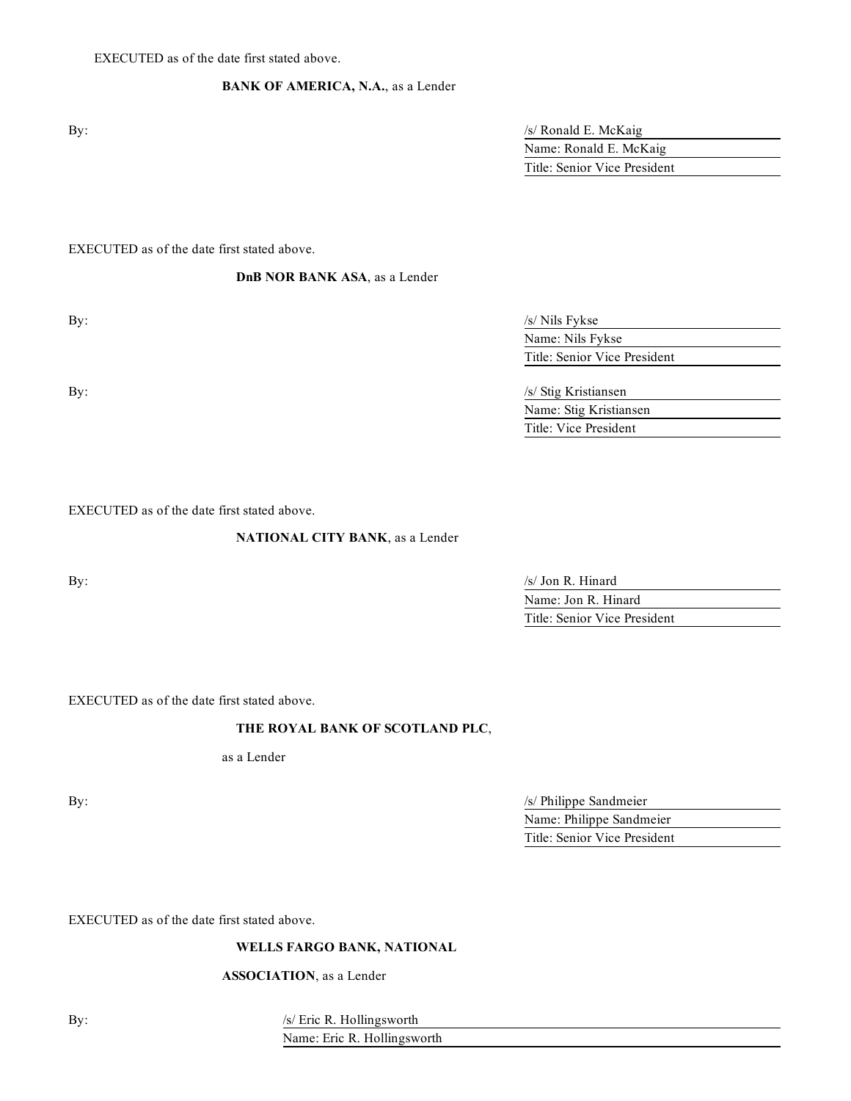## **BANK OF AMERICA, N.A.**, as a Lender

|    | UV. |
|----|-----|
|    |     |
| ۰. | ٠   |
|    |     |

| By: | $/s/$ Ronald E. McKaig       |
|-----|------------------------------|
|     | Name: Ronald E. McKaig       |
|     | Title: Senior Vice President |

EXECUTED as of the date first stated above.

**DnB NOR BANK ASA**, as a Lender

| By: | $/s/$ Nils Fykse             |
|-----|------------------------------|
|     | Name: Nils Fykse             |
|     | Title: Senior Vice President |

By: /s/ Stig Kristiansen Name: Stig Kristiansen Title: Vice President

EXECUTED as of the date first stated above.

#### **NATIONAL CITY BANK**, as a Lender

By:  $\frac{1}{s}$  Jon R. Hinard Name: Jon R. Hinard Title: Senior Vice President

EXECUTED as of the date first stated above.

# **THE ROYAL BANK OF SCOTLAND PLC**,

as a Lender

By:  $\frac{1}{s}$  Philippe Sandmeier Name: Philippe Sandmeier Title: Senior Vice President

EXECUTED as of the date first stated above.

## **WELLS FARGO BANK, NATIONAL**

#### **ASSOCIATION**, as a Lender

By:  $\frac{1}{s}$  /s/ Eric R. Hollingsworth

Name: Eric R. Hollingsworth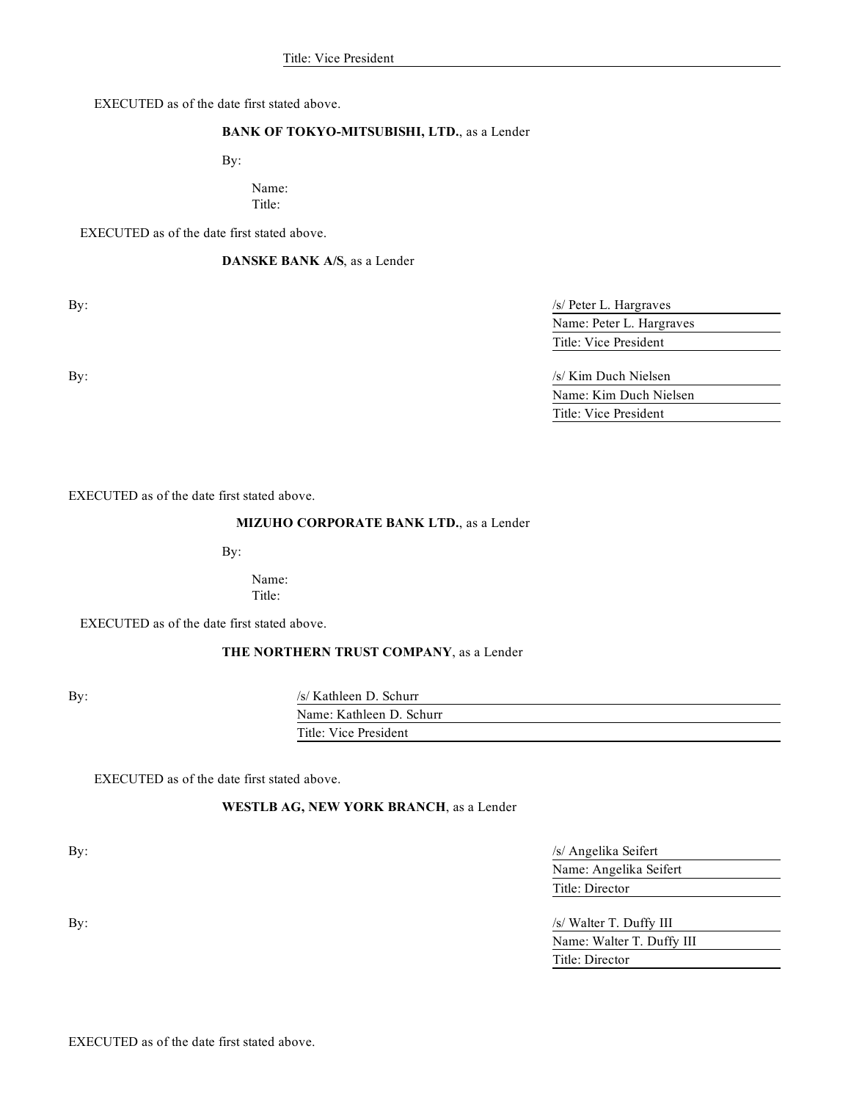EXECUTED as of the date first stated above.

#### **BANK OF TOKYO-MITSUBISHI, LTD.**, as a Lender

By:

#### Name: Title:

EXECUTED as of the date first stated above.

#### **DANSKE BANK A/S**, as a Lender

By:  $\frac{1}{s}$  Peter L. Hargraves Name: Peter L. Hargraves Title: Vice President

By:  $\frac{1}{s}$  Kim Duch Nielsen Name: Kim Duch Nielsen Title: Vice President

EXECUTED as of the date first stated above.

#### **MIZUHO CORPORATE BANK LTD.**, as a Lender

By:

Name: Title:

EXECUTED as of the date first stated above.

# **THE NORTHERN TRUST COMPANY**, as a Lender

By: /s/ Kathleen D. Schurr

| $\beta$ Rathell D. Schul |  |
|--------------------------|--|
| Name: Kathleen D. Schurr |  |
| Title: Vice President    |  |
|                          |  |

EXECUTED as of the date first stated above.

#### **WESTLB AG, NEW YORK BRANCH**, as a Lender

By:  $\frac{1}{s}$  Angelika Seifert Name: Angelika Seifert Title: Director

By:  $\frac{1}{s}$  Walter T. Duffy III Name: Walter T. Duffy III Title: Director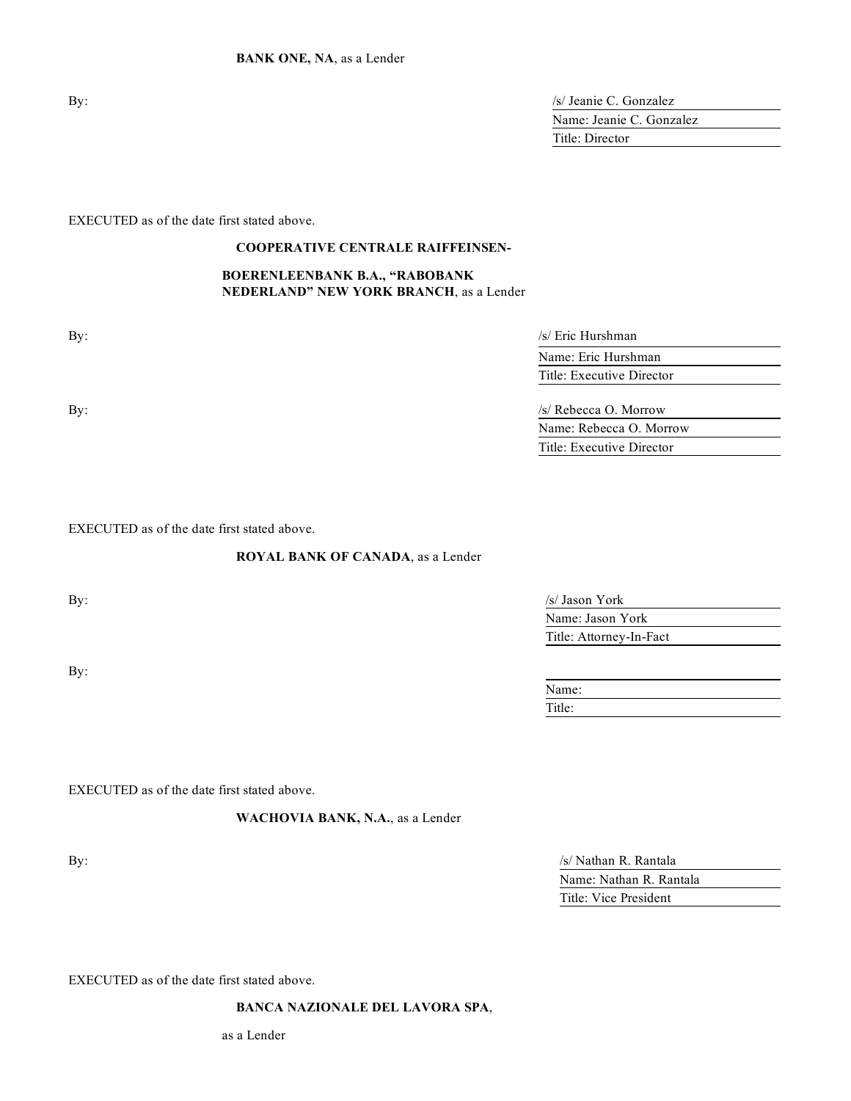| By: | /s/ Jeanie C. Gonzalez   |  |
|-----|--------------------------|--|
|     | Name: Jeanie C. Gonzalez |  |
|     | Title: Director          |  |
|     |                          |  |

EXECUTED as of the date first stated above.

# **COOPERATIVE CENTRALE RAIFFEINSEN-**

#### **BOERENLEENBANK B.A., "RABOBANK NEDERLAND" NEW YORK BRANCH**, as a Lender

| By: | /s/ Eric Hurshman         |  |
|-----|---------------------------|--|
|     | Name: Eric Hurshman       |  |
|     | Title: Executive Director |  |
| By: | /s/ Rebecca O. Morrow     |  |
|     | Name: Rebecca O. Morrow   |  |
|     | Title: Executive Director |  |
|     |                           |  |

EXECUTED as of the date first stated above.

#### **ROYAL BANK OF CANADA**, as a Lender

By:

| By: | $/s/$ Jason York        |
|-----|-------------------------|
|     | Name: Jason York        |
|     | Title: Attorney-In-Fact |
|     |                         |

| Name:  |  |  |  |
|--------|--|--|--|
| Title: |  |  |  |

EXECUTED as of the date first stated above.

**WACHOVIA BANK, N.A.**, as a Lender

By:  $\frac{1}{s}$  Nathan R. Rantala Name: Nathan R. Rantala Title: Vice President

EXECUTED as of the date first stated above.

**BANCA NAZIONALE DEL LAVORA SPA**,

as a Lender